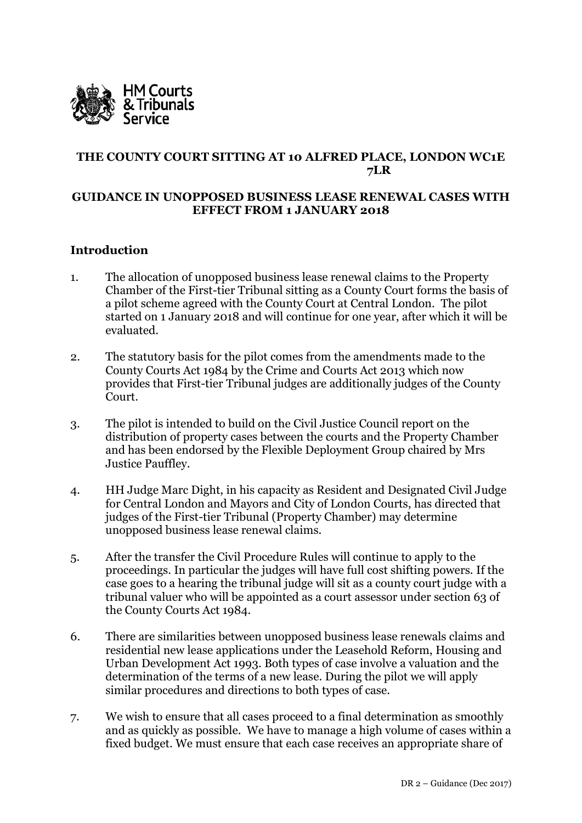

# **THE COUNTY COURT SITTING AT 10 ALFRED PLACE, LONDON WC1E 7LR**

#### **GUIDANCE IN UNOPPOSED BUSINESS LEASE RENEWAL CASES WITH EFFECT FROM 1 JANUARY 2018**

#### **Introduction**

- 1. The allocation of unopposed business lease renewal claims to the Property Chamber of the First-tier Tribunal sitting as a County Court forms the basis of a pilot scheme agreed with the County Court at Central London. The pilot started on 1 January 2018 and will continue for one year, after which it will be evaluated.
- 2. The statutory basis for the pilot comes from the amendments made to the County Courts Act 1984 by the Crime and Courts Act 2013 which now provides that First-tier Tribunal judges are additionally judges of the County Court.
- 3. The pilot is intended to build on the Civil Justice Council report on the distribution of property cases between the courts and the Property Chamber and has been endorsed by the Flexible Deployment Group chaired by Mrs Justice Pauffley.
- 4. HH Judge Marc Dight, in his capacity as Resident and Designated Civil Judge for Central London and Mayors and City of London Courts, has directed that judges of the First-tier Tribunal (Property Chamber) may determine unopposed business lease renewal claims.
- 5. After the transfer the Civil Procedure Rules will continue to apply to the proceedings. In particular the judges will have full cost shifting powers. If the case goes to a hearing the tribunal judge will sit as a county court judge with a tribunal valuer who will be appointed as a court assessor under section 63 of the County Courts Act 1984.
- 6. There are similarities between unopposed business lease renewals claims and residential new lease applications under the Leasehold Reform, Housing and Urban Development Act 1993. Both types of case involve a valuation and the determination of the terms of a new lease. During the pilot we will apply similar procedures and directions to both types of case.
- 7. We wish to ensure that all cases proceed to a final determination as smoothly and as quickly as possible. We have to manage a high volume of cases within a fixed budget. We must ensure that each case receives an appropriate share of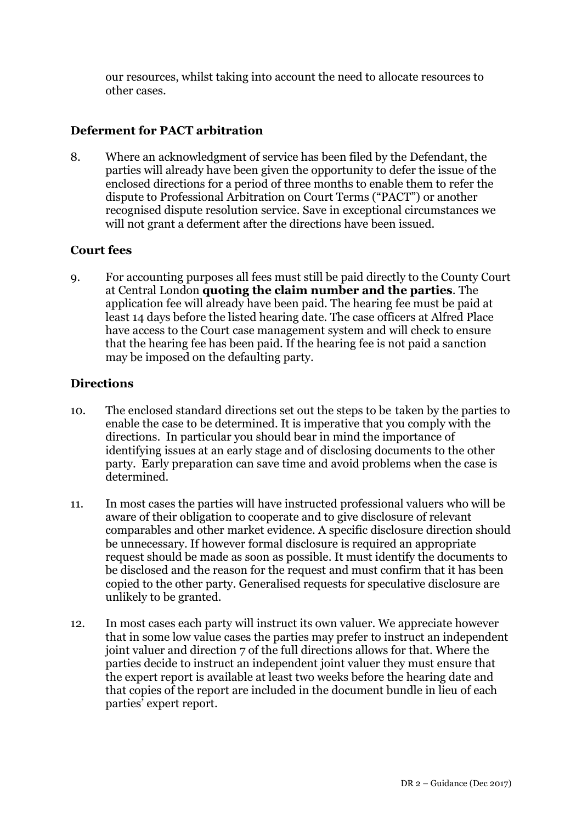our resources, whilst taking into account the need to allocate resources to other cases.

### **Deferment for PACT arbitration**

8. Where an acknowledgment of service has been filed by the Defendant, the parties will already have been given the opportunity to defer the issue of the enclosed directions for a period of three months to enable them to refer the dispute to Professional Arbitration on Court Terms ("PACT") or another recognised dispute resolution service. Save in exceptional circumstances we will not grant a deferment after the directions have been issued.

#### **Court fees**

9. For accounting purposes all fees must still be paid directly to the County Court at Central London **quoting the claim number and the parties**. The application fee will already have been paid. The hearing fee must be paid at least 14 days before the listed hearing date. The case officers at Alfred Place have access to the Court case management system and will check to ensure that the hearing fee has been paid. If the hearing fee is not paid a sanction may be imposed on the defaulting party.

#### **Directions**

- 10. The enclosed standard directions set out the steps to be taken by the parties to enable the case to be determined. It is imperative that you comply with the directions. In particular you should bear in mind the importance of identifying issues at an early stage and of disclosing documents to the other party. Early preparation can save time and avoid problems when the case is determined.
- 11. In most cases the parties will have instructed professional valuers who will be aware of their obligation to cooperate and to give disclosure of relevant comparables and other market evidence. A specific disclosure direction should be unnecessary. If however formal disclosure is required an appropriate request should be made as soon as possible. It must identify the documents to be disclosed and the reason for the request and must confirm that it has been copied to the other party. Generalised requests for speculative disclosure are unlikely to be granted.
- 12. In most cases each party will instruct its own valuer. We appreciate however that in some low value cases the parties may prefer to instruct an independent joint valuer and direction 7 of the full directions allows for that. Where the parties decide to instruct an independent joint valuer they must ensure that the expert report is available at least two weeks before the hearing date and that copies of the report are included in the document bundle in lieu of each parties' expert report.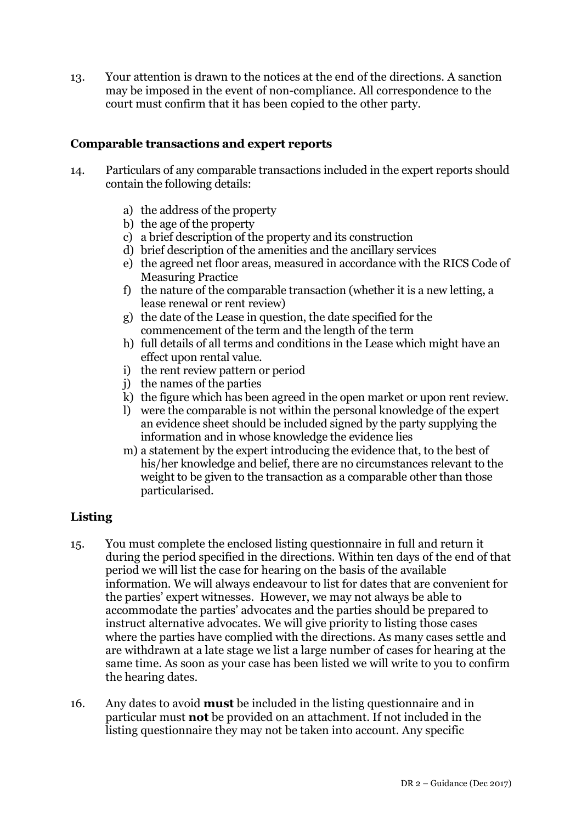13. Your attention is drawn to the notices at the end of the directions. A sanction may be imposed in the event of non-compliance. All correspondence to the court must confirm that it has been copied to the other party.

#### **Comparable transactions and expert reports**

- 14. Particulars of any comparable transactions included in the expert reports should contain the following details:
	- a) the address of the property
	- b) the age of the property
	- c) a brief description of the property and its construction
	- d) brief description of the amenities and the ancillary services
	- e) the agreed net floor areas, measured in accordance with the RICS Code of Measuring Practice
	- f) the nature of the comparable transaction (whether it is a new letting, a lease renewal or rent review)
	- g) the date of the Lease in question, the date specified for the commencement of the term and the length of the term
	- h) full details of all terms and conditions in the Lease which might have an effect upon rental value.
	- i) the rent review pattern or period
	- j) the names of the parties
	- k) the figure which has been agreed in the open market or upon rent review.
	- l) were the comparable is not within the personal knowledge of the expert an evidence sheet should be included signed by the party supplying the information and in whose knowledge the evidence lies
	- m) a statement by the expert introducing the evidence that, to the best of his/her knowledge and belief, there are no circumstances relevant to the weight to be given to the transaction as a comparable other than those particularised.

#### **Listing**

- 15. You must complete the enclosed listing questionnaire in full and return it during the period specified in the directions. Within ten days of the end of that period we will list the case for hearing on the basis of the available information. We will always endeavour to list for dates that are convenient for the parties' expert witnesses. However, we may not always be able to accommodate the parties' advocates and the parties should be prepared to instruct alternative advocates. We will give priority to listing those cases where the parties have complied with the directions. As many cases settle and are withdrawn at a late stage we list a large number of cases for hearing at the same time. As soon as your case has been listed we will write to you to confirm the hearing dates.
- 16. Any dates to avoid **must** be included in the listing questionnaire and in particular must **not** be provided on an attachment. If not included in the listing questionnaire they may not be taken into account. Any specific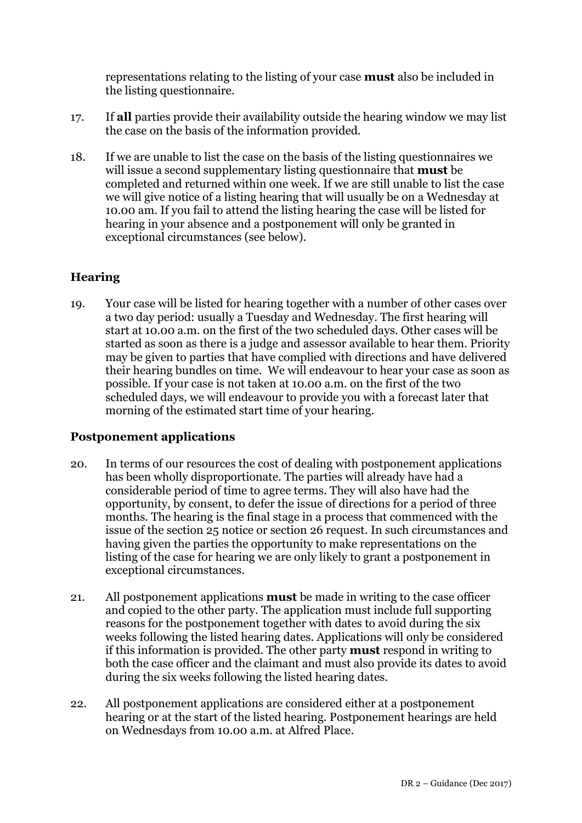representations relating to the listing of your case **must** also be included in the listing questionnaire.

- 17. If **all** parties provide their availability outside the hearing window we may list the case on the basis of the information provided.
- 18. If we are unable to list the case on the basis of the listing questionnaires we will issue a second supplementary listing questionnaire that **must** be completed and returned within one week. If we are still unable to list the case we will give notice of a listing hearing that will usually be on a Wednesday at 10.00 am. If you fail to attend the listing hearing the case will be listed for hearing in your absence and a postponement will only be granted in exceptional circumstances (see below).

# **Hearing**

19. Your case will be listed for hearing together with a number of other cases over a two day period: usually a Tuesday and Wednesday. The first hearing will start at 10.00 a.m. on the first of the two scheduled days. Other cases will be started as soon as there is a judge and assessor available to hear them. Priority may be given to parties that have complied with directions and have delivered their hearing bundles on time. We will endeavour to hear your case as soon as possible. If your case is not taken at 10.00 a.m. on the first of the two scheduled days, we will endeavour to provide you with a forecast later that morning of the estimated start time of your hearing.

### **Postponement applications**

- 20. In terms of our resources the cost of dealing with postponement applications has been wholly disproportionate. The parties will already have had a considerable period of time to agree terms. They will also have had the opportunity, by consent, to defer the issue of directions for a period of three months. The hearing is the final stage in a process that commenced with the issue of the section 25 notice or section 26 request. In such circumstances and having given the parties the opportunity to make representations on the listing of the case for hearing we are only likely to grant a postponement in exceptional circumstances.
- 21. All postponement applications **must** be made in writing to the case officer and copied to the other party. The application must include full supporting reasons for the postponement together with dates to avoid during the six weeks following the listed hearing dates. Applications will only be considered if this information is provided. The other party **must** respond in writing to both the case officer and the claimant and must also provide its dates to avoid during the six weeks following the listed hearing dates.
- 22. All postponement applications are considered either at a postponement hearing or at the start of the listed hearing. Postponement hearings are held on Wednesdays from 10.00 a.m. at Alfred Place.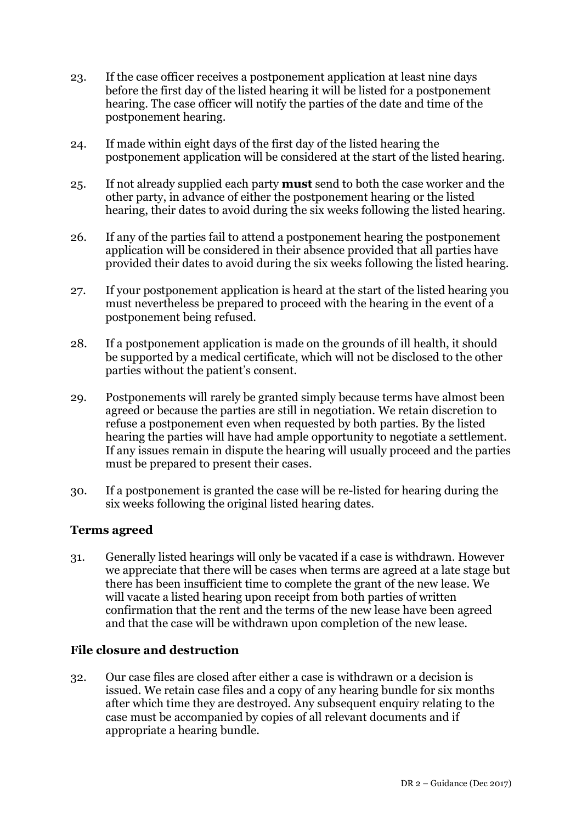- 23. If the case officer receives a postponement application at least nine days before the first day of the listed hearing it will be listed for a postponement hearing. The case officer will notify the parties of the date and time of the postponement hearing.
- 24. If made within eight days of the first day of the listed hearing the postponement application will be considered at the start of the listed hearing.
- 25. If not already supplied each party **must** send to both the case worker and the other party, in advance of either the postponement hearing or the listed hearing, their dates to avoid during the six weeks following the listed hearing.
- 26. If any of the parties fail to attend a postponement hearing the postponement application will be considered in their absence provided that all parties have provided their dates to avoid during the six weeks following the listed hearing.
- 27. If your postponement application is heard at the start of the listed hearing you must nevertheless be prepared to proceed with the hearing in the event of a postponement being refused.
- 28. If a postponement application is made on the grounds of ill health, it should be supported by a medical certificate, which will not be disclosed to the other parties without the patient's consent.
- 29. Postponements will rarely be granted simply because terms have almost been agreed or because the parties are still in negotiation. We retain discretion to refuse a postponement even when requested by both parties. By the listed hearing the parties will have had ample opportunity to negotiate a settlement. If any issues remain in dispute the hearing will usually proceed and the parties must be prepared to present their cases.
- 30. If a postponement is granted the case will be re-listed for hearing during the six weeks following the original listed hearing dates.

### **Terms agreed**

31. Generally listed hearings will only be vacated if a case is withdrawn. However we appreciate that there will be cases when terms are agreed at a late stage but there has been insufficient time to complete the grant of the new lease. We will vacate a listed hearing upon receipt from both parties of written confirmation that the rent and the terms of the new lease have been agreed and that the case will be withdrawn upon completion of the new lease.

### **File closure and destruction**

32. Our case files are closed after either a case is withdrawn or a decision is issued. We retain case files and a copy of any hearing bundle for six months after which time they are destroyed. Any subsequent enquiry relating to the case must be accompanied by copies of all relevant documents and if appropriate a hearing bundle.